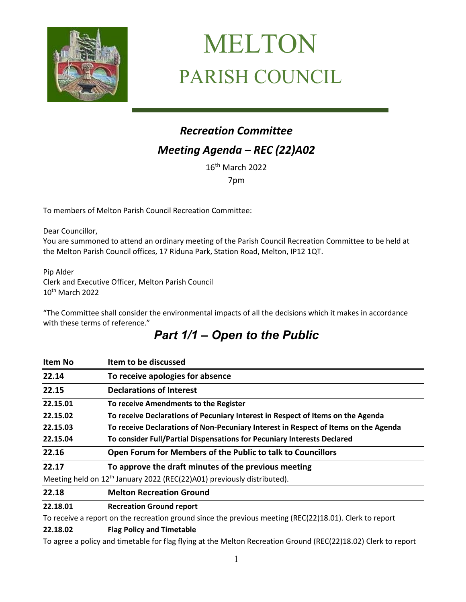

# MELTON PARISH COUNCIL

## *Recreation Committee Meeting Agenda – REC (22)A02*

16th March 2022

7pm

To members of Melton Parish Council Recreation Committee:

Dear Councillor, You are summoned to attend an ordinary meeting of the Parish Council Recreation Committee to be held at the Melton Parish Council offices, 17 Riduna Park, Station Road, Melton, IP12 1QT.

Pip Alder Clerk and Executive Officer, Melton Parish Council 10th March 2022

"The Committee shall consider the environmental impacts of all the decisions which it makes in accordance with these terms of reference."

## *Part 1/1 – Open to the Public*

| <b>Item No</b> | Item to be discussed                                                                |
|----------------|-------------------------------------------------------------------------------------|
| 22.14          | To receive apologies for absence                                                    |
| 22.15          | <b>Declarations of Interest</b>                                                     |
| 22.15.01       | To receive Amendments to the Register                                               |
| 22.15.02       | To receive Declarations of Pecuniary Interest in Respect of Items on the Agenda     |
| 22.15.03       | To receive Declarations of Non-Pecuniary Interest in Respect of Items on the Agenda |
| 22.15.04       | To consider Full/Partial Dispensations for Pecuniary Interests Declared             |
| 22.16          | Open Forum for Members of the Public to talk to Councillors                         |
| 22.17          | To approve the draft minutes of the previous meeting                                |
|                | Meeting held on 12 <sup>th</sup> January 2022 (REC(22)A01) previously distributed). |
| 22.18          | <b>Melton Recreation Ground</b>                                                     |

#### **22.18.01 Recreation Ground report**

To receive a report on the recreation ground since the previous meeting (REC(22)18.01). Clerk to report

#### **22.18.02 Flag Policy and Timetable**

To agree a policy and timetable for flag flying at the Melton Recreation Ground (REC(22)18.02) Clerk to report